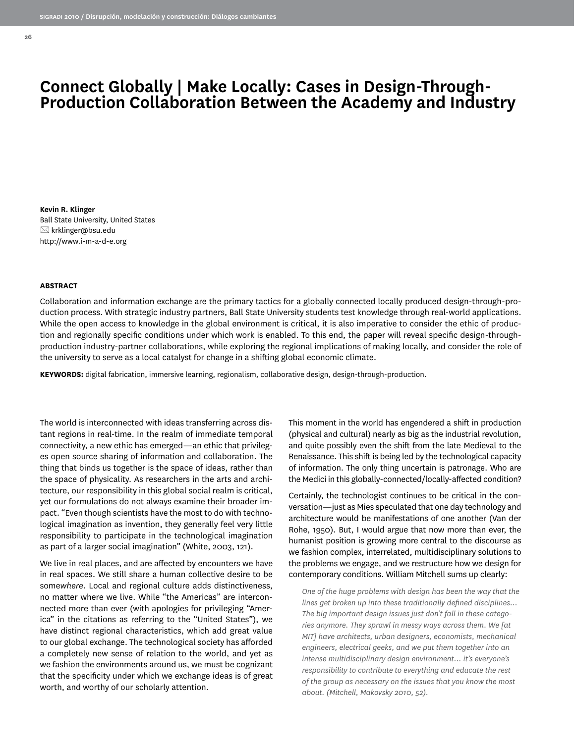**Kevin R. Klinger** Ball State University, United States  $\boxtimes$  krklinger@bsu.edu http://www.i-m-a-d-e.org

#### **ABSTRACT**

**26**

Collaboration and information exchange are the primary tactics for a globally connected locally produced design-through-production process. With strategic industry partners, Ball State University students test knowledge through real-world applications. While the open access to knowledge in the global environment is critical, it is also imperative to consider the ethic of production and regionally specific conditions under which work is enabled. To this end, the paper will reveal specific design-throughproduction industry-partner collaborations, while exploring the regional implications of making locally, and consider the role of the university to serve as a local catalyst for change in a shifting global economic climate.

**KEYWORDS:** digital fabrication, immersive learning, regionalism, collaborative design, design-through-production.

The world is interconnected with ideas transferring across distant regions in real-time. In the realm of immediate temporal connectivity, a new ethic has emerged—an ethic that privileges open source sharing of information and collaboration. The thing that binds us together is the space of ideas, rather than the space of physicality. As researchers in the arts and architecture, our responsibility in this global social realm is critical, yet our formulations do not always examine their broader impact. "Even though scientists have the most to do with technological imagination as invention, they generally feel very little responsibility to participate in the technological imagination as part of a larger social imagination" (White, 2003, 121).

We live in real places, and are affected by encounters we have in real spaces. We still share a human collective desire to be some*where*. Local and regional culture adds distinctiveness, no matter where we live. While "the Americas" are interconnected more than ever (with apologies for privileging "America" in the citations as referring to the "United States"), we have distinct regional characteristics, which add great value to our global exchange. The technological society has afforded a completely new sense of relation to the world, and yet as we fashion the environments around us, we must be cognizant that the specificity under which we exchange ideas is of great worth, and worthy of our scholarly attention.

This moment in the world has engendered a shift in production (physical and cultural) nearly as big as the industrial revolution, and quite possibly even the shift from the late Medieval to the Renaissance. This shift is being led by the technological capacity of information. The only thing uncertain is patronage. Who are the Medici in this globally-connected/locally-affected condition?

Certainly, the technologist continues to be critical in the conversation—just as Mies speculated that one day technology and architecture would be manifestations of one another (Van der Rohe, 1950). But, I would argue that now more than ever, the humanist position is growing more central to the discourse as we fashion complex, interrelated, multidisciplinary solutions to the problems we engage, and we restructure how we design for contemporary conditions. William Mitchell sums up clearly:

*One of the huge problems with design has been the way that the lines get broken up into these traditionally defined disciplines… The big important design issues just don't fall in these categories anymore. They sprawl in messy ways across them. We [at MIT] have architects, urban designers, economists, mechanical engineers, electrical geeks, and we put them together into an intense multidisciplinary design environment… it's everyone's responsibility to contribute to everything and educate the rest of the group as necessary on the issues that you know the most about. (Mitchell, Makovsky 2010, 52).*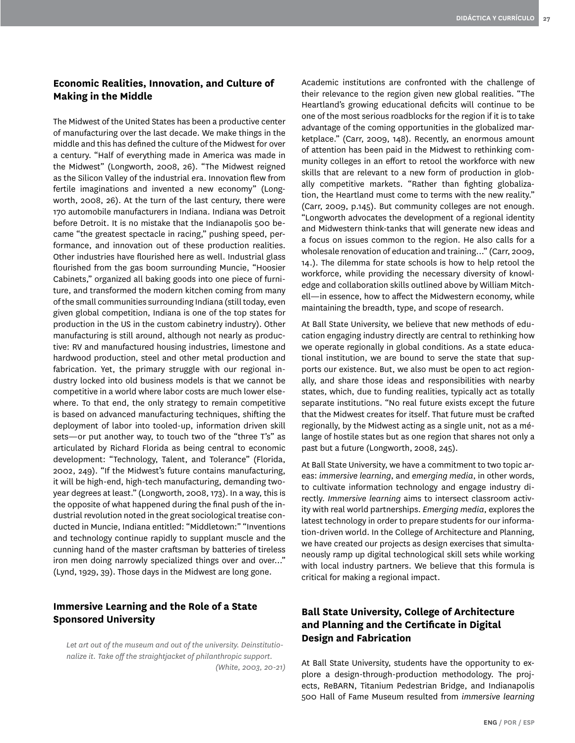## **Economic Realities, Innovation, and Culture of Making in the Middle**

The Midwest of the United States has been a productive center of manufacturing over the last decade. We make things in the middle and this has defined the culture of the Midwest for over a century. "Half of everything made in America was made in the Midwest" (Longworth, 2008, 26). "The Midwest reigned as the Silicon Valley of the industrial era. Innovation flew from fertile imaginations and invented a new economy" (Longworth, 2008, 26). At the turn of the last century, there were 170 automobile manufacturers in Indiana. Indiana was Detroit before Detroit. It is no mistake that the Indianapolis 500 became "the greatest spectacle in racing," pushing speed, performance, and innovation out of these production realities. Other industries have flourished here as well. Industrial glass flourished from the gas boom surrounding Muncie, "Hoosier Cabinets," organized all baking goods into one piece of furniture, and transformed the modern kitchen coming from many of the small communities surrounding Indiana (still today, even given global competition, Indiana is one of the top states for production in the US in the custom cabinetry industry). Other manufacturing is still around, although not nearly as productive: RV and manufactured housing industries, limestone and hardwood production, steel and other metal production and fabrication. Yet, the primary struggle with our regional industry locked into old business models is that we cannot be competitive in a world where labor costs are much lower elsewhere. To that end, the only strategy to remain competitive is based on advanced manufacturing techniques, shifting the deployment of labor into tooled-up, information driven skill sets—or put another way, to touch two of the "three T's" as articulated by Richard Florida as being central to economic development: "Technology, Talent, and Tolerance" (Florida, 2002, 249). "If the Midwest's future contains manufacturing, it will be high-end, high-tech manufacturing, demanding twoyear degrees at least." (Longworth, 2008, 173). In a way, this is the opposite of what happened during the final push of the industrial revolution noted in the great sociological treatise conducted in Muncie, Indiana entitled: "Middletown:" "Inventions and technology continue rapidly to supplant muscle and the cunning hand of the master craftsman by batteries of tireless iron men doing narrowly specialized things over and over…" (Lynd, 1929, 39). Those days in the Midwest are long gone.

### **Immersive Learning and the Role of a State Sponsored University**

*Let art out of the museum and out of the university. Deinstitutionalize it. Take off the straightjacket of philanthropic support. (White, 2003, 20-21)* Academic institutions are confronted with the challenge of their relevance to the region given new global realities. "The Heartland's growing educational deficits will continue to be one of the most serious roadblocks for the region if it is to take advantage of the coming opportunities in the globalized marketplace." (Carr, 2009, 148). Recently, an enormous amount of attention has been paid in the Midwest to rethinking community colleges in an effort to retool the workforce with new skills that are relevant to a new form of production in globally competitive markets. "Rather than fighting globalization, the Heartland must come to terms with the new reality." (Carr, 2009, p.145). But community colleges are not enough. "Longworth advocates the development of a regional identity and Midwestern think-tanks that will generate new ideas and a focus on issues common to the region. He also calls for a wholesale renovation of education and training…" (Carr, 2009, 14.). The dilemma for state schools is how to help retool the workforce, while providing the necessary diversity of knowledge and collaboration skills outlined above by William Mitchell—in essence, how to affect the Midwestern economy, while maintaining the breadth, type, and scope of research.

At Ball State University, we believe that new methods of education engaging industry directly are central to rethinking how we operate regionally in global conditions. As a state educational institution, we are bound to serve the state that supports our existence. But, we also must be open to act regionally, and share those ideas and responsibilities with nearby states, which, due to funding realities, typically act as totally separate institutions. "No real future exists except the future that the Midwest creates for itself. That future must be crafted regionally, by the Midwest acting as a single unit, not as a mélange of hostile states but as one region that shares not only a past but a future (Longworth, 2008, 245).

At Ball State University, we have a commitment to two topic areas: *immersive learning*, and *emerging media*, in other words, to cultivate information technology and engage industry directly. *Immersive learning* aims to intersect classroom activity with real world partnerships. *Emerging media*, explores the latest technology in order to prepare students for our information-driven world. In the College of Architecture and Planning, we have created our projects as design exercises that simultaneously ramp up digital technological skill sets while working with local industry partners. We believe that this formula is critical for making a regional impact.

# **Ball State University, College of Architecture and Planning and the Certificate in Digital Design and Fabrication**

At Ball State University, students have the opportunity to explore a design-through-production methodology. The projects, ReBARN, Titanium Pedestrian Bridge, and Indianapolis 500 Hall of Fame Museum resulted from *immersive learning*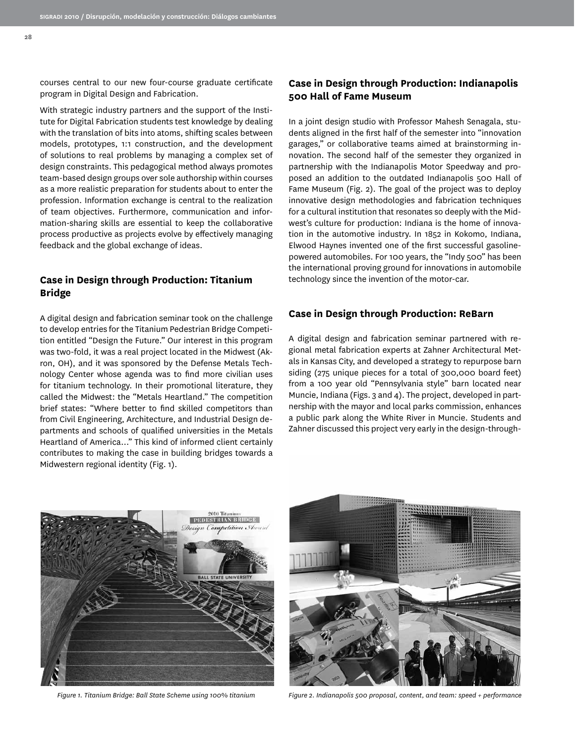courses central to our new four-course graduate certificate program in Digital Design and Fabrication.

With strategic industry partners and the support of the Institute for Digital Fabrication students test knowledge by dealing with the translation of bits into atoms, shifting scales between models, prototypes, 1:1 construction, and the development of solutions to real problems by managing a complex set of design constraints. This pedagogical method always promotes team-based design groups over sole authorship within courses as a more realistic preparation for students about to enter the profession. Information exchange is central to the realization of team objectives. Furthermore, communication and information-sharing skills are essential to keep the collaborative process productive as projects evolve by effectively managing feedback and the global exchange of ideas.

#### **Case in Design through Production: Titanium Bridge**

A digital design and fabrication seminar took on the challenge to develop entries for the Titanium Pedestrian Bridge Competition entitled "Design the Future." Our interest in this program was two-fold, it was a real project located in the Midwest (Akron, OH), and it was sponsored by the Defense Metals Technology Center whose agenda was to find more civilian uses for titanium technology. In their promotional literature, they called the Midwest: the "Metals Heartland." The competition brief states: "Where better to find skilled competitors than from Civil Engineering, Architecture, and Industrial Design departments and schools of qualified universities in the Metals Heartland of America…" This kind of informed client certainly contributes to making the case in building bridges towards a Midwestern regional identity (Fig. 1).

### **Case in Design through Production: Indianapolis 500 Hall of Fame Museum**

In a joint design studio with Professor Mahesh Senagala, students aligned in the first half of the semester into "innovation garages," or collaborative teams aimed at brainstorming innovation. The second half of the semester they organized in partnership with the Indianapolis Motor Speedway and proposed an addition to the outdated Indianapolis 500 Hall of Fame Museum (Fig. 2). The goal of the project was to deploy innovative design methodologies and fabrication techniques for a cultural institution that resonates so deeply with the Midwest's culture for production: Indiana is the home of innovation in the automotive industry. In 1852 in Kokomo, Indiana, Elwood Haynes invented one of the first successful gasolinepowered automobiles. For 100 years, the "Indy 500" has been the international proving ground for innovations in automobile technology since the invention of the motor-car.

#### **Case in Design through Production: ReBarn**

A digital design and fabrication seminar partnered with regional metal fabrication experts at Zahner Architectural Metals in Kansas City, and developed a strategy to repurpose barn siding (275 unique pieces for a total of 300,000 board feet) from a 100 year old "Pennsylvania style" barn located near Muncie, Indiana (Figs. 3 and 4). The project, developed in partnership with the mayor and local parks commission, enhances a public park along the White River in Muncie. Students and Zahner discussed this project very early in the design-through-





*Figure 1. Titanium Bridge: Ball State Scheme using 100% titanium Figure 2. Indianapolis 500 proposal, content, and team: speed + performance*